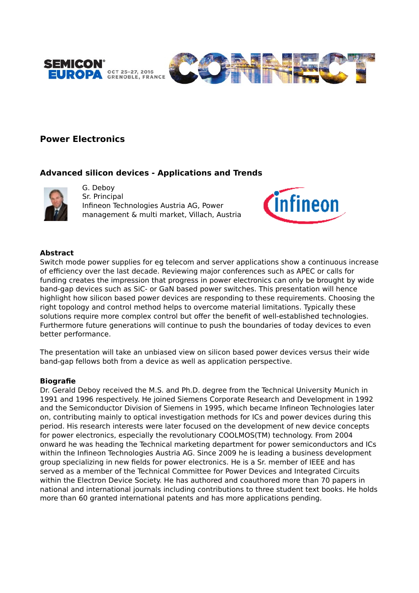



# **Power Electronics**

## **Advanced silicon devices - Applications and Trends**



G. Deboy Sr. Principal Infineon Technologies Austria AG, Power management & multi market, Villach, Austria



### **Abstract**

Switch mode power supplies for eg telecom and server applications show a continuous increase of efficiency over the last decade. Reviewing major conferences such as APEC or calls for funding creates the impression that progress in power electronics can only be brought by wide band-gap devices such as SiC- or GaN based power switches. This presentation will hence highlight how silicon based power devices are responding to these requirements. Choosing the right topology and control method helps to overcome material limitations. Typically these solutions require more complex control but offer the benefit of well-established technologies. Furthermore future generations will continue to push the boundaries of today devices to even better performance.

The presentation will take an unbiased view on silicon based power devices versus their wide band-gap fellows both from a device as well as application perspective.

#### **Biografie**

Dr. Gerald Deboy received the M.S. and Ph.D. degree from the Technical University Munich in 1991 and 1996 respectively. He joined Siemens Corporate Research and Development in 1992 and the Semiconductor Division of Siemens in 1995, which became Infineon Technologies later on, contributing mainly to optical investigation methods for ICs and power devices during this period. His research interests were later focused on the development of new device concepts for power electronics, especially the revolutionary COOLMOS(TM) technology. From 2004 onward he was heading the Technical marketing department for power semiconductors and ICs within the Infineon Technologies Austria AG. Since 2009 he is leading a business development group specializing in new fields for power electronics. He is a Sr. member of IEEE and has served as a member of the Technical Committee for Power Devices and Integrated Circuits within the Electron Device Society. He has authored and coauthored more than 70 papers in national and international journals including contributions to three student text books. He holds more than 60 granted international patents and has more applications pending.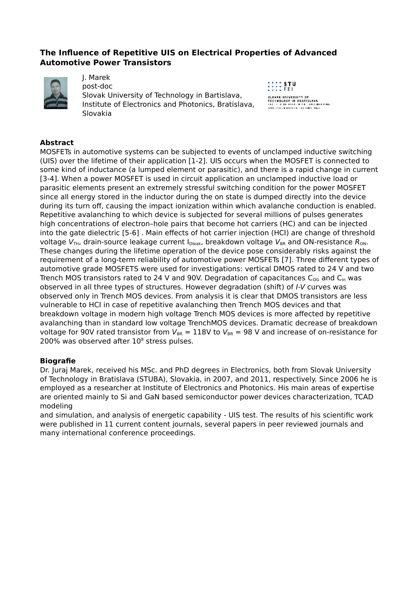## **The Influence of Repetitive UIS on Electrical Properties of Advanced Automotive Power Transistors**



J. Marek post-doc Slovak University of Technology in Bartislava, Institute of Electronics and Photonics, Bratislava, Slovakia

EDEE STU SLOVAK UNIVERSITY OF<br>TECHNOLOGY IN DRATISLAVA<br>ESCEL Y DE ETELITA OF FROINFERING<br>AND INFORMATION TELENO OGY

### **Abstract**

MOSFETs in automotive systems can be subjected to events of unclamped inductive switching (UIS) over the lifetime of their application [1-2]. UIS occurs when the MOSFET is connected to some kind of inductance (a lumped element or parasitic), and there is a rapid change in current [3-4]. When a power MOSFET is used in circuit application an unclamped inductive load or parasitic elements present an extremely stressful switching condition for the power MOSFET since all energy stored in the inductor during the on state is dumped directly into the device during its turn off, causing the impact ionization within which avalanche conduction is enabled. Repetitive avalanching to which device is subjected for several millions of pulses generates high concentrations of electron–hole pairs that become hot carriers (HC) and can be injected into the gate dielectric [5-6] . Main effects of hot carrier injection (HCI) are change of threshold voltage  $V_{TH}$ , drain-source leakage current  $I_{Dleak}$ , breakdown voltage  $V_{BR}$  and ON-resistance  $R_{ON}$ . These changes during the lifetime operation of the device pose considerably risks against the requirement of a long-term reliability of automotive power MOSFETs [7]. Three different types of automotive grade MOSFETS were used for investigations: vertical DMOS rated to 24 V and two Trench MOS transistors rated to 24 V and 90V. Degradation of capacitances  $C_{\text{DG}}$  and  $C_{\text{in}}$  was observed in all three types of structures. However degradation (shift) of I-V curves was observed only in Trench MOS devices. From analysis it is clear that DMOS transistors are less vulnerable to HCI in case of repetitive avalanching then Trench MOS devices and that breakdown voltage in modern high voltage Trench MOS devices is more affected by repetitive avalanching than in standard low voltage TrenchMOS devices. Dramatic decrease of breakdown voltage for 90V rated transistor from  $V_{BR}$  = 118V to  $V_{BR}$  = 98 V and increase of on-resistance for 200% was observed after  $10<sup>8</sup>$  stress pulses.

#### **Biografie**

Dr. Juraj Marek, received his MSc. and PhD degrees in Electronics, both from Slovak University of Technology in Bratislava (STUBA), Slovakia, in 2007, and 2011, respectively. Since 2006 he is employed as a researcher at Institute of Electronics and Photonics. His main areas of expertise are oriented mainly to Si and GaN based semiconductor power devices characterization, TCAD modeling

and simulation, and analysis of energetic capability - UIS test. The results of his scientific work were published in 11 current content journals, several papers in peer reviewed journals and many international conference proceedings.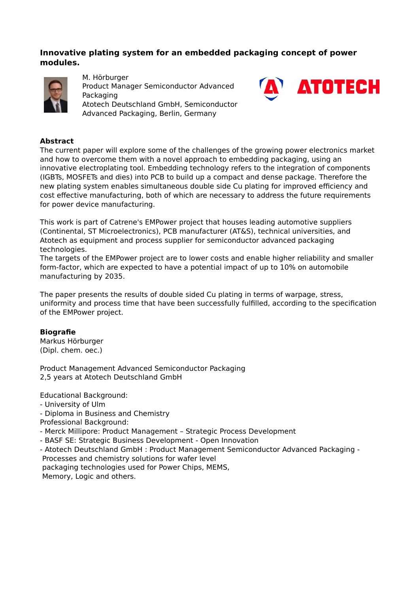## **Innovative plating system for an embedded packaging concept of power modules.**



M. Hörburger Product Manager Semiconductor Advanced **Packaging** Atotech Deutschland GmbH, Semiconductor Advanced Packaging, Berlin, Germany



## **Abstract**

The current paper will explore some of the challenges of the growing power electronics market and how to overcome them with a novel approach to embedding packaging, using an innovative electroplating tool. Embedding technology refers to the integration of components (IGBTs, MOSFETs and dies) into PCB to build up a compact and dense package. Therefore the new plating system enables simultaneous double side Cu plating for improved efficiency and cost effective manufacturing, both of which are necessary to address the future requirements for power device manufacturing.

This work is part of Catrene's EMPower project that houses leading automotive suppliers (Continental, ST Microelectronics), PCB manufacturer (AT&S), technical universities, and Atotech as equipment and process supplier for semiconductor advanced packaging technologies.

The targets of the EMPower project are to lower costs and enable higher reliability and smaller form-factor, which are expected to have a potential impact of up to 10% on automobile manufacturing by 2035.

The paper presents the results of double sided Cu plating in terms of warpage, stress, uniformity and process time that have been successfully fulfilled, according to the specification of the EMPower project.

#### **Biografie**

Markus Hörburger (Dipl. chem. oec.)

Product Management Advanced Semiconductor Packaging 2,5 years at Atotech Deutschland GmbH

Educational Background:

- University of Ulm
- Diploma in Business and Chemistry

Professional Background:

- Merck Millipore: Product Management Strategic Process Development
- BASF SE: Strategic Business Development Open Innovation
- Atotech Deutschland GmbH : Product Management Semiconductor Advanced Packaging Processes and chemistry solutions for wafer level

packaging technologies used for Power Chips, MEMS,

Memory, Logic and others.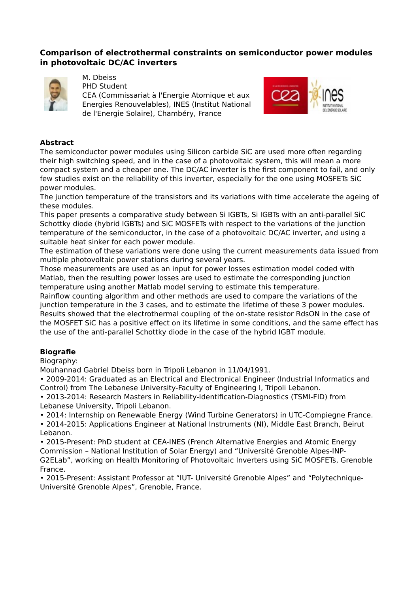## **Comparison of electrothermal constraints on semiconductor power modules in photovoltaic DC/AC inverters**



M. Dbeiss PHD Student CEA (Commissariat à l'Energie Atomique et aux Energies Renouvelables), INES (Institut National de l'Energie Solaire), Chambéry, France



### **Abstract**

The semiconductor power modules using Silicon carbide SiC are used more often regarding their high switching speed, and in the case of a photovoltaic system, this will mean a more compact system and a cheaper one. The DC/AC inverter is the first component to fail, and only few studies exist on the reliability of this inverter, especially for the one using MOSFETs SiC power modules.

The junction temperature of the transistors and its variations with time accelerate the ageing of these modules.

This paper presents a comparative study between Si IGBTs, Si IGBTs with an anti-parallel SiC Schottky diode (hybrid IGBTs) and SiC MOSFETs with respect to the variations of the junction temperature of the semiconductor, in the case of a photovoltaic DC/AC inverter, and using a suitable heat sinker for each power module.

The estimation of these variations were done using the current measurements data issued from multiple photovoltaic power stations during several years.

Those measurements are used as an input for power losses estimation model coded with Matlab, then the resulting power losses are used to estimate the corresponding junction temperature using another Matlab model serving to estimate this temperature.

Rainflow counting algorithm and other methods are used to compare the variations of the junction temperature in the 3 cases, and to estimate the lifetime of these 3 power modules. Results showed that the electrothermal coupling of the on-state resistor RdsON in the case of the MOSFET SiC has a positive effect on its lifetime in some conditions, and the same effect has the use of the anti-parallel Schottky diode in the case of the hybrid IGBT module.

## **Biografie**

Biography:

Mouhannad Gabriel Dbeiss born in Tripoli Lebanon in 11/04/1991.

• 2009-2014: Graduated as an Electrical and Electronical Engineer (Industrial Informatics and Control) from The Lebanese University-Faculty of Engineering Ι, Tripoli Lebanon.

• 2013-2014: Research Masters in Reliability-Identification-Diagnostics (TSMI-FID) from Lebanese University, Tripoli Lebanon.

• 2014: Internship on Renewable Energy (Wind Turbine Generators) in UTC-Compiegne France.

• 2014-2015: Applications Engineer at National Instruments (NI), Middle East Branch, Beirut Lebanon.

• 2015-Present: PhD student at CEA-INES (French Alternative Energies and Atomic Energy Commission – National Institution of Solar Energy) and "Université Grenoble Alpes-INP-G2ELab", working on Health Monitoring of Photovoltaic Inverters using SiC MOSFETs, Grenoble France.

• 2015-Present: Assistant Professor at "IUT- Université Grenoble Alpes" and "Polytechnique-Université Grenoble Alpes", Grenoble, France.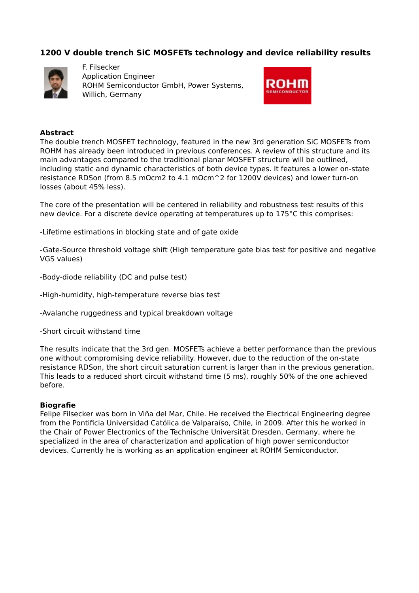## **1200 V double trench SiC MOSFETs technology and device reliability results**



F. Filsecker Application Engineer ROHM Semiconductor GmbH, Power Systems, Willich, Germany



#### **Abstract**

The double trench MOSFET technology, featured in the new 3rd generation SiC MOSFETs from ROHM has already been introduced in previous conferences. A review of this structure and its main advantages compared to the traditional planar MOSFET structure will be outlined, including static and dynamic characteristics of both device types. It features a lower on-state resistance RDSon (from 8.5 mΩcm2 to 4.1 mΩcm^2 for 1200V devices) and lower turn-on losses (about 45% less).

The core of the presentation will be centered in reliability and robustness test results of this new device. For a discrete device operating at temperatures up to 175°C this comprises:

-Lifetime estimations in blocking state and of gate oxide

-Gate-Source threshold voltage shift (High temperature gate bias test for positive and negative VGS values)

-Body-diode reliability (DC and pulse test)

-High-humidity, high-temperature reverse bias test

-Avalanche ruggedness and typical breakdown voltage

-Short circuit withstand time

The results indicate that the 3rd gen. MOSFETs achieve a better performance than the previous one without compromising device reliability. However, due to the reduction of the on-state resistance RDSon, the short circuit saturation current is larger than in the previous generation. This leads to a reduced short circuit withstand time (5 ms), roughly 50% of the one achieved before.

#### **Biografie**

Felipe Filsecker was born in Viña del Mar, Chile. He received the Electrical Engineering degree from the Pontificia Universidad Católica de Valparaíso, Chile, in 2009. After this he worked in the Chair of Power Electronics of the Technische Universität Dresden, Germany, where he specialized in the area of characterization and application of high power semiconductor devices. Currently he is working as an application engineer at ROHM Semiconductor.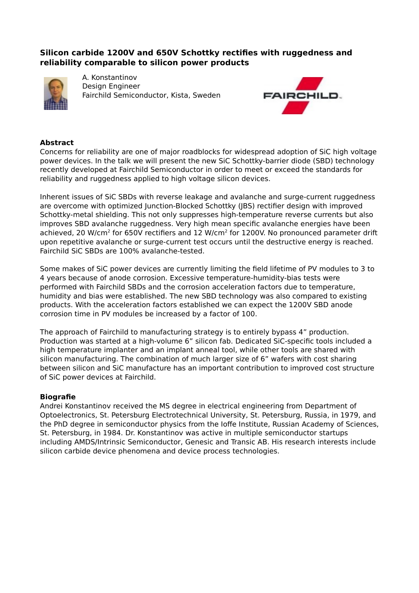## **Silicon carbide 1200V and 650V Schottky rectifies with ruggedness and reliability comparable to silicon power products**



A. Konstantinov Design Engineer Fairchild Semiconductor, Kista, Sweden



### **Abstract**

Concerns for reliability are one of major roadblocks for widespread adoption of SiC high voltage power devices. In the talk we will present the new SiC Schottky-barrier diode (SBD) technology recently developed at Fairchild Semiconductor in order to meet or exceed the standards for reliability and ruggedness applied to high voltage silicon devices.

Inherent issues of SiC SBDs with reverse leakage and avalanche and surge-current ruggedness are overcome with optimized Junction-Blocked Schottky (JBS) rectifier design with improved Schottky-metal shielding. This not only suppresses high-temperature reverse currents but also improves SBD avalanche ruggedness. Very high mean specific avalanche energies have been achieved, 20 W/cm<sup>2</sup> for 650V rectifiers and 12 W/cm<sup>2</sup> for 1200V. No pronounced parameter drift upon repetitive avalanche or surge-current test occurs until the destructive energy is reached. Fairchild SiC SBDs are 100% avalanche-tested.

Some makes of SiC power devices are currently limiting the field lifetime of PV modules to 3 to 4 years because of anode corrosion. Excessive temperature-humidity-bias tests were performed with Fairchild SBDs and the corrosion acceleration factors due to temperature, humidity and bias were established. The new SBD technology was also compared to existing products. With the acceleration factors established we can expect the 1200V SBD anode corrosion time in PV modules be increased by a factor of 100.

The approach of Fairchild to manufacturing strategy is to entirely bypass 4" production. Production was started at a high-volume 6" silicon fab. Dedicated SiC-specific tools included a high temperature implanter and an implant anneal tool, while other tools are shared with silicon manufacturing. The combination of much larger size of 6" wafers with cost sharing between silicon and SiC manufacture has an important contribution to improved cost structure of SiC power devices at Fairchild.

#### **Biografie**

Andrei Konstantinov received the MS degree in electrical engineering from Department of Optoelectronics, St. Petersburg Electrotechnical University, St. Petersburg, Russia, in 1979, and the PhD degree in semiconductor physics from the Ioffe Institute, Russian Academy of Sciences, St. Petersburg, in 1984. Dr. Konstantinov was active in multiple semiconductor startups including AMDS/Intrinsic Semiconductor, Genesic and Transic AB. His research interests include silicon carbide device phenomena and device process technologies.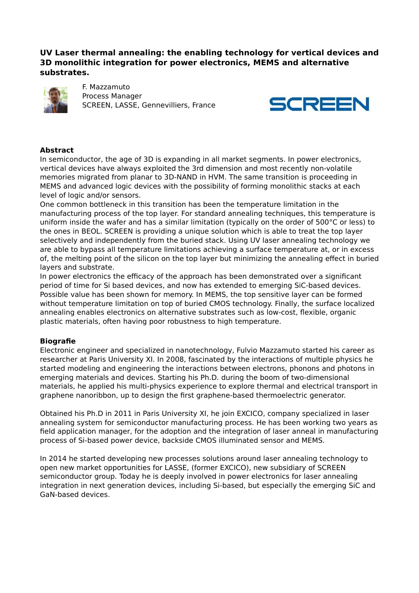# **UV Laser thermal annealing: the enabling technology for vertical devices and 3D monolithic integration for power electronics, MEMS and alternative substrates.**



F. Mazzamuto Process Manager SCREEN, LASSE, Gennevilliers, France



## **Abstract**

In semiconductor, the age of 3D is expanding in all market segments. In power electronics, vertical devices have always exploited the 3rd dimension and most recently non-volatile memories migrated from planar to 3D-NAND in HVM. The same transition is proceeding in MEMS and advanced logic devices with the possibility of forming monolithic stacks at each level of logic and/or sensors.

One common bottleneck in this transition has been the temperature limitation in the manufacturing process of the top layer. For standard annealing techniques, this temperature is uniform inside the wafer and has a similar limitation (typically on the order of 500°C or less) to the ones in BEOL. SCREEN is providing a unique solution which is able to treat the top layer selectively and independently from the buried stack. Using UV laser annealing technology we are able to bypass all temperature limitations achieving a surface temperature at, or in excess of, the melting point of the silicon on the top layer but minimizing the annealing effect in buried layers and substrate.

In power electronics the efficacy of the approach has been demonstrated over a significant period of time for Si based devices, and now has extended to emerging SiC-based devices. Possible value has been shown for memory. In MEMS, the top sensitive layer can be formed without temperature limitation on top of buried CMOS technology. Finally, the surface localized annealing enables electronics on alternative substrates such as low-cost, flexible, organic plastic materials, often having poor robustness to high temperature.

## **Biografie**

Electronic engineer and specialized in nanotechnology, Fulvio Mazzamuto started his career as researcher at Paris University XI. In 2008, fascinated by the interactions of multiple physics he started modeling and engineering the interactions between electrons, phonons and photons in emerging materials and devices. Starting his Ph.D. during the boom of two-dimensional materials, he applied his multi-physics experience to explore thermal and electrical transport in graphene nanoribbon, up to design the first graphene-based thermoelectric generator.

Obtained his Ph.D in 2011 in Paris University XI, he join EXCICO, company specialized in laser annealing system for semiconductor manufacturing process. He has been working two years as field application manager, for the adoption and the integration of laser anneal in manufacturing process of Si-based power device, backside CMOS illuminated sensor and MEMS.

In 2014 he started developing new processes solutions around laser annealing technology to open new market opportunities for LASSE, (former EXCICO), new subsidiary of SCREEN semiconductor group. Today he is deeply involved in power electronics for laser annealing integration in next generation devices, including Si-based, but especially the emerging SiC and GaN-based devices.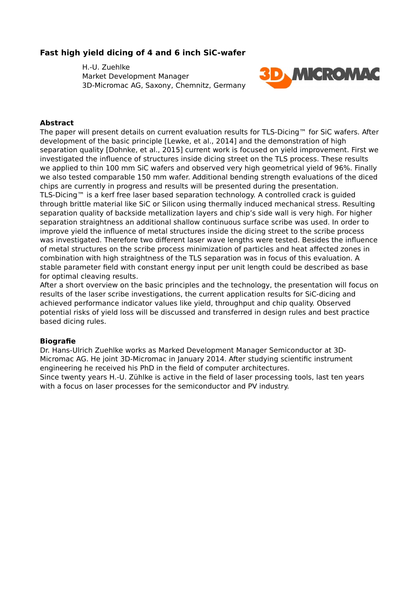# **Fast high yield dicing of 4 and 6 inch SiC-wafer**

H.-U. Zuehlke Market Development Manager 3D-Micromac AG, Saxony, Chemnitz, Germany



## **Abstract**

The paper will present details on current evaluation results for TLS-Dicing™ for SiC wafers. After development of the basic principle [Lewke, et al., 2014] and the demonstration of high separation quality [Dohnke, et al., 2015] current work is focused on yield improvement. First we investigated the influence of structures inside dicing street on the TLS process. These results we applied to thin 100 mm SiC wafers and observed very high geometrical yield of 96%. Finally we also tested comparable 150 mm wafer. Additional bending strength evaluations of the diced chips are currently in progress and results will be presented during the presentation. TLS-Dicing™ is a kerf free laser based separation technology. A controlled crack is guided through brittle material like SiC or Silicon using thermally induced mechanical stress. Resulting separation quality of backside metallization layers and chip's side wall is very high. For higher separation straightness an additional shallow continuous surface scribe was used. In order to improve yield the influence of metal structures inside the dicing street to the scribe process was investigated. Therefore two different laser wave lengths were tested. Besides the influence of metal structures on the scribe process minimization of particles and heat affected zones in combination with high straightness of the TLS separation was in focus of this evaluation. A stable parameter field with constant energy input per unit length could be described as base for optimal cleaving results.

After a short overview on the basic principles and the technology, the presentation will focus on results of the laser scribe investigations, the current application results for SiC-dicing and achieved performance indicator values like yield, throughput and chip quality. Observed potential risks of yield loss will be discussed and transferred in design rules and best practice based dicing rules.

## **Biografie**

Dr. Hans-Ulrich Zuehlke works as Marked Development Manager Semiconductor at 3D-Micromac AG. He joint 3D-Micromac in January 2014. After studying scientific instrument engineering he received his PhD in the field of computer architectures. Since twenty years H.-U. Zühlke is active in the field of laser processing tools, last ten years with a focus on laser processes for the semiconductor and PV industry.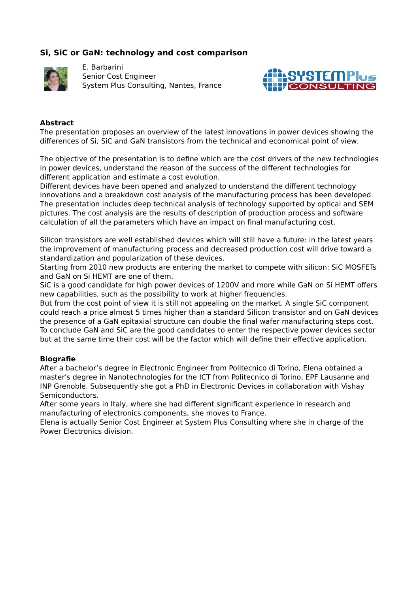## **Si, SiC or GaN: technology and cost comparison**



E. Barbarini Senior Cost Engineer System Plus Consulting, Nantes, France



### **Abstract**

The presentation proposes an overview of the latest innovations in power devices showing the differences of Si, SiC and GaN transistors from the technical and economical point of view.

The objective of the presentation is to define which are the cost drivers of the new technologies in power devices, understand the reason of the success of the different technologies for different application and estimate a cost evolution.

Different devices have been opened and analyzed to understand the different technology innovations and a breakdown cost analysis of the manufacturing process has been developed. The presentation includes deep technical analysis of technology supported by optical and SEM pictures. The cost analysis are the results of description of production process and software calculation of all the parameters which have an impact on final manufacturing cost.

Silicon transistors are well established devices which will still have a future: in the latest years the improvement of manufacturing process and decreased production cost will drive toward a standardization and popularization of these devices.

Starting from 2010 new products are entering the market to compete with silicon: SiC MOSFETs and GaN on Si HEMT are one of them.

SiC is a good candidate for high power devices of 1200V and more while GaN on Si HEMT offers new capabilities, such as the possibility to work at higher frequencies.

But from the cost point of view it is still not appealing on the market. A single SiC component could reach a price almost 5 times higher than a standard Silicon transistor and on GaN devices the presence of a GaN epitaxial structure can double the final wafer manufacturing steps cost. To conclude GaN and SiC are the good candidates to enter the respective power devices sector but at the same time their cost will be the factor which will define their effective application.

#### **Biografie**

After a bachelor's degree in Electronic Engineer from Politecnico di Torino, Elena obtained a master's degree in Nanotechnologies for the ICT from Politecnico di Torino, EPF Lausanne and INP Grenoble. Subsequently she got a PhD in Electronic Devices in collaboration with Vishay Semiconductors.

After some years in Italy, where she had different significant experience in research and manufacturing of electronics components, she moves to France.

Elena is actually Senior Cost Engineer at System Plus Consulting where she in charge of the Power Electronics division.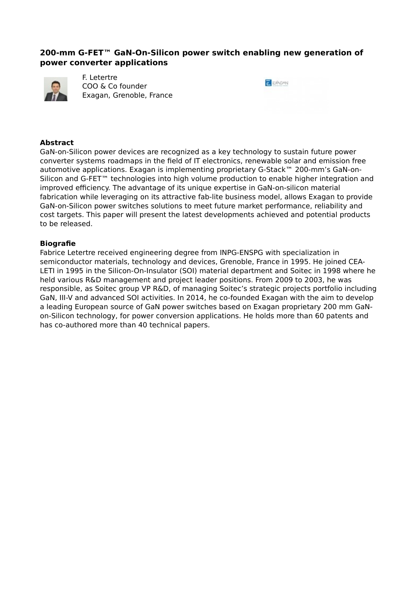## **200-mm G-FET™ GaN-On-Silicon power switch enabling new generation of power converter applications**



F. Letertre COO & Co founder Exagan, Grenoble, France

#### **Abstract**

GaN-on-Silicon power devices are recognized as a key technology to sustain future power converter systems roadmaps in the field of IT electronics, renewable solar and emission free automotive applications. Exagan is implementing proprietary G-Stack™ 200-mm's GaN-on-Silicon and G-FET™ technologies into high volume production to enable higher integration and improved efficiency. The advantage of its unique expertise in GaN-on-silicon material fabrication while leveraging on its attractive fab-lite business model, allows Exagan to provide GaN-on-Silicon power switches solutions to meet future market performance, reliability and cost targets. This paper will present the latest developments achieved and potential products to be released.

#### **Biografie**

Fabrice Letertre received engineering degree from INPG-ENSPG with specialization in semiconductor materials, technology and devices, Grenoble, France in 1995. He joined CEA-LETI in 1995 in the Silicon-On-Insulator (SOI) material department and Soitec in 1998 where he held various R&D management and project leader positions. From 2009 to 2003, he was responsible, as Soitec group VP R&D, of managing Soitec's strategic projects portfolio including GaN, III-V and advanced SOI activities. In 2014, he co-founded Exagan with the aim to develop a leading European source of GaN power switches based on Exagan proprietary 200 mm GaNon-Silicon technology, for power conversion applications. He holds more than 60 patents and has co-authored more than 40 technical papers.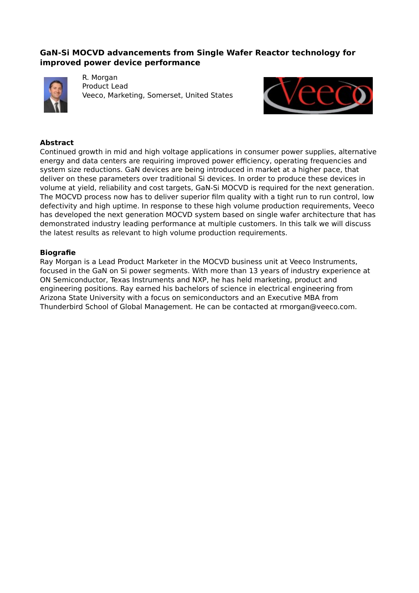## **GaN-Si MOCVD advancements from Single Wafer Reactor technology for improved power device performance**



R. Morgan Product Lead Veeco, Marketing, Somerset, United States



### **Abstract**

Continued growth in mid and high voltage applications in consumer power supplies, alternative energy and data centers are requiring improved power efficiency, operating frequencies and system size reductions. GaN devices are being introduced in market at a higher pace, that deliver on these parameters over traditional Si devices. In order to produce these devices in volume at yield, reliability and cost targets, GaN-Si MOCVD is required for the next generation. The MOCVD process now has to deliver superior film quality with a tight run to run control, low defectivity and high uptime. In response to these high volume production requirements, Veeco has developed the next generation MOCVD system based on single wafer architecture that has demonstrated industry leading performance at multiple customers. In this talk we will discuss the latest results as relevant to high volume production requirements.

#### **Biografie**

Ray Morgan is a Lead Product Marketer in the MOCVD business unit at Veeco Instruments, focused in the GaN on Si power segments. With more than 13 years of industry experience at ON Semiconductor, Texas Instruments and NXP, he has held marketing, product and engineering positions. Ray earned his bachelors of science in electrical engineering from Arizona State University with a focus on semiconductors and an Executive MBA from Thunderbird School of Global Management. He can be contacted at rmorgan@veeco.com.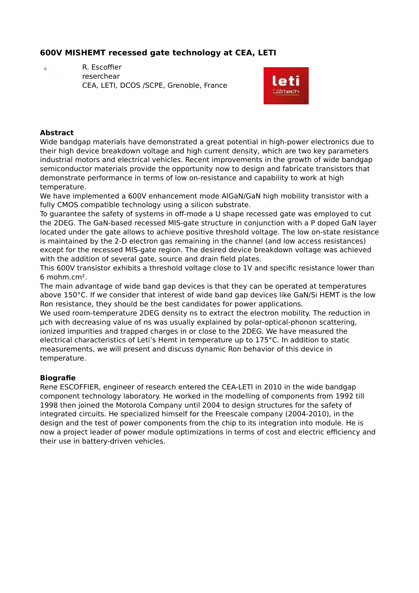# **600V MISHEMT recessed gate technology at CEA, LETI**

R. Escoffier reserchear CEA, LETI, DCOS /SCPE, Grenoble, France



### **Abstract**

à

Wide bandgap materials have demonstrated a great potential in high-power electronics due to their high device breakdown voltage and high current density, which are two key parameters industrial motors and electrical vehicles. Recent improvements in the growth of wide bandgap semiconductor materials provide the opportunity now to design and fabricate transistors that demonstrate performance in terms of low on-resistance and capability to work at high temperature.

We have implemented a 600V enhancement mode AlGaN/GaN high mobility transistor with a fully CMOS compatible technology using a silicon substrate.

To guarantee the safety of systems in off-mode a U shape recessed gate was employed to cut the 2DEG. The GaN-based recessed MIS-gate structure in conjunction with a P doped GaN layer located under the gate allows to achieve positive threshold voltage. The low on-state resistance is maintained by the 2-D electron gas remaining in the channel (and low access resistances) except for the recessed MIS-gate region. The desired device breakdown voltage was achieved with the addition of several gate, source and drain field plates.

This 600V transistor exhibits a threshold voltage close to 1V and specific resistance lower than 6 mohm.cm².

The main advantage of wide band gap devices is that they can be operated at temperatures above 150°C. If we consider that interest of wide band gap devices like GaN/Si HEMT is the low Ron resistance, they should be the best candidates for power applications.

We used room-temperature 2DEG density ns to extract the electron mobility. The reduction in µch with decreasing value of ns was usually explained by polar-optical-phonon scattering, ionized impurities and trapped charges in or close to the 2DEG. We have measured the electrical characteristics of Leti's Hemt in temperature up to 175°C. In addition to static measurements, we will present and discuss dynamic Ron behavior of this device in temperature.

#### **Biografie**

Rene ESCOFFIER, engineer of research entered the CEA-LETI in 2010 in the wide bandgap component technology laboratory. He worked in the modelling of components from 1992 till 1998 then joined the Motorola Company until 2004 to design structures for the safety of integrated circuits. He specialized himself for the Freescale company (2004-2010), in the design and the test of power components from the chip to its integration into module. He is now a project leader of power module optimizations in terms of cost and electric efficiency and their use in battery-driven vehicles.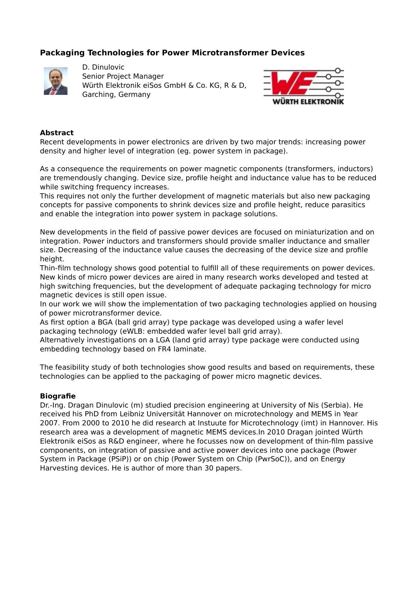# **Packaging Technologies for Power Microtransformer Devices**



D. Dinulovic Senior Project Manager Würth Elektronik eiSos GmbH & Co. KG, R & D, Garching, Germany



### **Abstract**

Recent developments in power electronics are driven by two major trends: increasing power density and higher level of integration (eg. power system in package).

As a consequence the requirements on power magnetic components (transformers, inductors) are tremendously changing. Device size, profile height and inductance value has to be reduced while switching frequency increases.

This requires not only the further development of magnetic materials but also new packaging concepts for passive components to shrink devices size and profile height, reduce parasitics and enable the integration into power system in package solutions.

New developments in the field of passive power devices are focused on miniaturization and on integration. Power inductors and transformers should provide smaller inductance and smaller size. Decreasing of the inductance value causes the decreasing of the device size and profile height.

Thin-film technology shows good potential to fulfill all of these requirements on power devices. New kinds of micro power devices are aired in many research works developed and tested at high switching frequencies, but the development of adequate packaging technology for micro magnetic devices is still open issue.

In our work we will show the implementation of two packaging technologies applied on housing of power microtransformer device.

As first option a BGA (ball grid array) type package was developed using a wafer level packaging technology (eWLB: embedded wafer level ball grid array).

Alternatively investigations on a LGA (land grid array) type package were conducted using embedding technology based on FR4 laminate.

The feasibility study of both technologies show good results and based on requirements, these technologies can be applied to the packaging of power micro magnetic devices.

#### **Biografie**

Dr.-Ing. Dragan Dinulovic (m) studied precision engineering at University of Nis (Serbia). He received his PhD from Leibniz Universität Hannover on microtechnology and MEMS in Year 2007. From 2000 to 2010 he did research at Instuute for Microtechnology (imt) in Hannover. His research area was a development of magnetic MEMS devices.In 2010 Dragan jointed Würth Elektronik eiSos as R&D engineer, where he focusses now on development of thin-film passive components, on integration of passive and active power devices into one package (Power System in Package (PSiP)) or on chip (Power System on Chip (PwrSoC)), and on Energy Harvesting devices. He is author of more than 30 papers.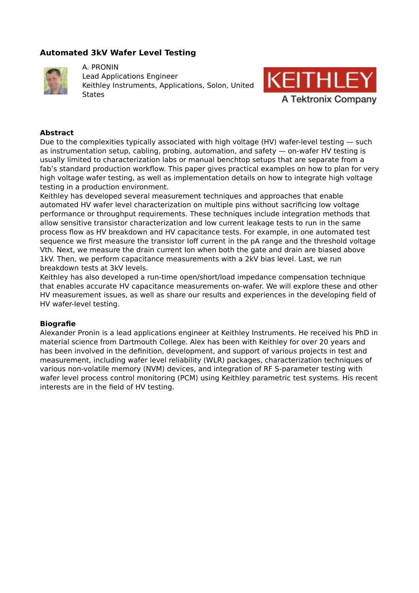# **Automated 3kV Wafer Level Testing**



A. PRONIN Lead Applications Engineer Keithley Instruments, Applications, Solon, United **States** 



### **Abstract**

Due to the complexities typically associated with high voltage (HV) wafer-level testing — such as instrumentation setup, cabling, probing, automation, and safety — on-wafer HV testing is usually limited to characterization labs or manual benchtop setups that are separate from a fab's standard production workflow. This paper gives practical examples on how to plan for very high voltage wafer testing, as well as implementation details on how to integrate high voltage testing in a production environment.

Keithley has developed several measurement techniques and approaches that enable automated HV wafer level characterization on multiple pins without sacrificing low voltage performance or throughput requirements. These techniques include integration methods that allow sensitive transistor characterization and low current leakage tests to run in the same process flow as HV breakdown and HV capacitance tests. For example, in one automated test sequence we first measure the transistor Ioff current in the pA range and the threshold voltage Vth. Next, we measure the drain current Ion when both the gate and drain are biased above 1kV. Then, we perform capacitance measurements with a 2kV bias level. Last, we run breakdown tests at 3kV levels.

Keithley has also developed a run-time open/short/load impedance compensation technique that enables accurate HV capacitance measurements on-wafer. We will explore these and other HV measurement issues, as well as share our results and experiences in the developing field of HV wafer-level testing.

#### **Biografie**

Alexander Pronin is a lead applications engineer at Keithley Instruments. He received his PhD in material science from Dartmouth College. Alex has been with Keithley for over 20 years and has been involved in the definition, development, and support of various projects in test and measurement, including wafer level reliability (WLR) packages, characterization techniques of various non-volatile memory (NVM) devices, and integration of RF S-parameter testing with wafer level process control monitoring (PCM) using Keithley parametric test systems. His recent interests are in the field of HV testing.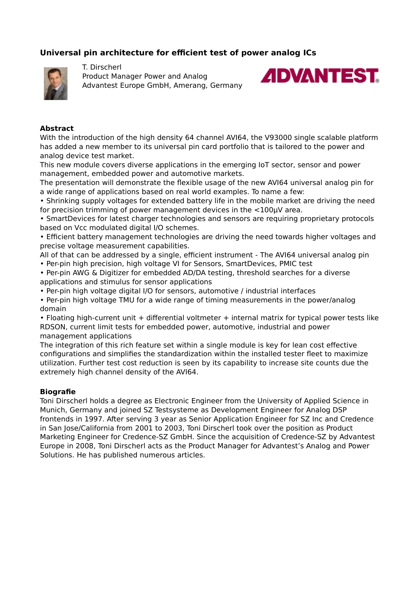# **Universal pin architecture for efficient test of power analog ICs**



T. Dirscherl Product Manager Power and Analog Advantest Europe GmbH, Amerang, Germany



### **Abstract**

With the introduction of the high density 64 channel AVI64, the V93000 single scalable platform has added a new member to its universal pin card portfolio that is tailored to the power and analog device test market.

This new module covers diverse applications in the emerging IoT sector, sensor and power management, embedded power and automotive markets.

The presentation will demonstrate the flexible usage of the new AVI64 universal analog pin for a wide range of applications based on real world examples. To name a few:

• Shrinking supply voltages for extended battery life in the mobile market are driving the need for precision trimming of power management devices in the <100µV area.

• SmartDevices for latest charger technologies and sensors are requiring proprietary protocols based on Vcc modulated digital I/O schemes.

• Efficient battery management technologies are driving the need towards higher voltages and precise voltage measurement capabilities.

All of that can be addressed by a single, efficient instrument - The AVI64 universal analog pin

• Per-pin high precision, high voltage VI for Sensors, SmartDevices, PMIC test

• Per-pin AWG & Digitizer for embedded AD/DA testing, threshold searches for a diverse applications and stimulus for sensor applications

• Per-pin high voltage digital I/O for sensors, automotive / industrial interfaces

• Per-pin high voltage TMU for a wide range of timing measurements in the power/analog domain

• Floating high-current unit + differential voltmeter + internal matrix for typical power tests like RDSON, current limit tests for embedded power, automotive, industrial and power management applications

The integration of this rich feature set within a single module is key for lean cost effective configurations and simplifies the standardization within the installed tester fleet to maximize utilization. Further test cost reduction is seen by its capability to increase site counts due the extremely high channel density of the AVI64.

#### **Biografie**

Toni Dirscherl holds a degree as Electronic Engineer from the University of Applied Science in Munich, Germany and joined SZ Testsysteme as Development Engineer for Analog DSP frontends in 1997. After serving 3 year as Senior Application Engineer for SZ Inc and Credence in San Jose/California from 2001 to 2003, Toni Dirscherl took over the position as Product Marketing Engineer for Credence-SZ GmbH. Since the acquisition of Credence-SZ by Advantest Europe in 2008, Toni Dirscherl acts as the Product Manager for Advantest's Analog and Power Solutions. He has published numerous articles.